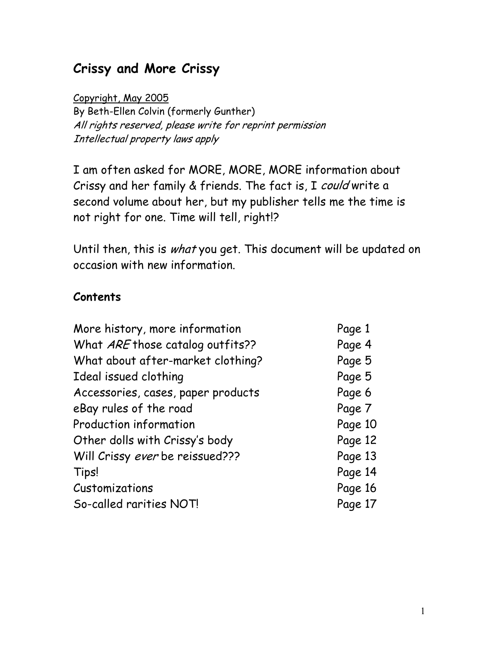# **Crissy and More Crissy**

Copyright, May 2005 By Beth-Ellen Colvin (formerly Gunther) All rights reserved, please write for reprint permission Intellectual property laws apply

I am often asked for MORE, MORE, MORE information about Crissy and her family & friends. The fact is, I could write a second volume about her, but my publisher tells me the time is not right for one. Time will tell, right!?

Until then, this is what you get. This document will be updated on occasion with new information.

## **Contents**

| More history, more information     | Page 1  |
|------------------------------------|---------|
| What ARE those catalog outfits??   | Page 4  |
| What about after-market clothing?  | Page 5  |
| Ideal issued clothing              | Page 5  |
| Accessories, cases, paper products | Page 6  |
| eBay rules of the road             | Page 7  |
| Production information             | Page 10 |
| Other dolls with Crissy's body     | Page 12 |
| Will Crissy ever be reissued???    | Page 13 |
| Tips!                              | Page 14 |
| Customizations                     | Page 16 |
| So-called rarities NOT!            | Page 17 |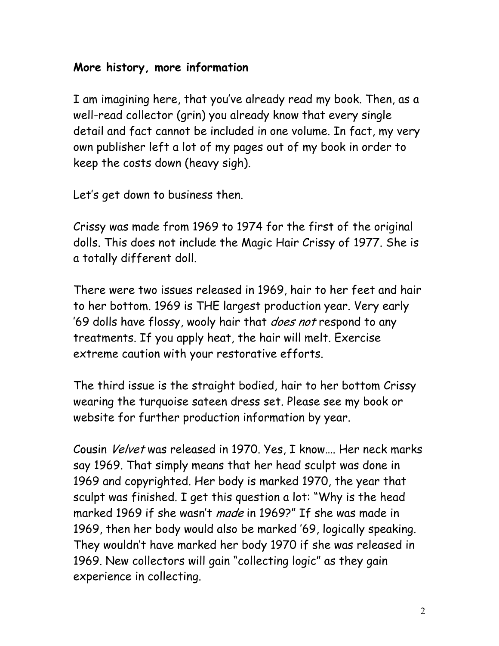### **More history, more information**

I am imagining here, that you've already read my book. Then, as a well-read collector (grin) you already know that every single detail and fact cannot be included in one volume. In fact, my very own publisher left a lot of my pages out of my book in order to keep the costs down (heavy sigh).

Let's get down to business then.

Crissy was made from 1969 to 1974 for the first of the original dolls. This does not include the Magic Hair Crissy of 1977. She is a totally different doll.

There were two issues released in 1969, hair to her feet and hair to her bottom. 1969 is THE largest production year. Very early '69 dolls have flossy, wooly hair that *does not* respond to any treatments. If you apply heat, the hair will melt. Exercise extreme caution with your restorative efforts.

The third issue is the straight bodied, hair to her bottom Crissy wearing the turquoise sateen dress set. Please see my book or website for further production information by year.

Cousin Velvet was released in 1970. Yes, I know…. Her neck marks say 1969. That simply means that her head sculpt was done in 1969 and copyrighted. Her body is marked 1970, the year that sculpt was finished. I get this question a lot: "Why is the head marked 1969 if she wasn't made in 1969?" If she was made in 1969, then her body would also be marked '69, logically speaking. They wouldn't have marked her body 1970 if she was released in 1969. New collectors will gain "collecting logic" as they gain experience in collecting.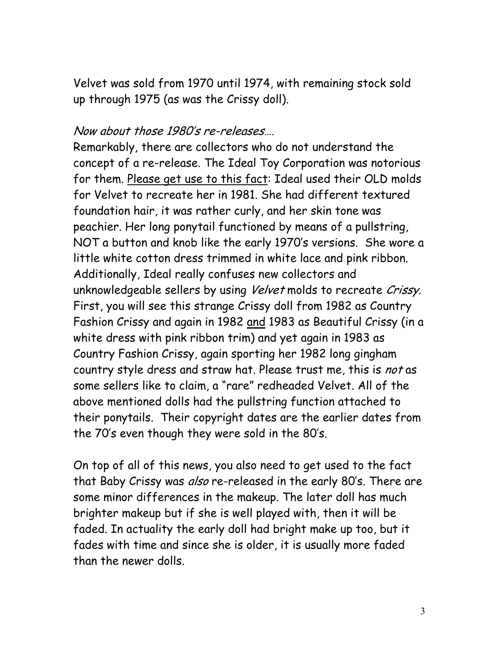Velvet was sold from 1970 until 1974, with remaining stock sold up through 1975 (as was the Crissy doll).

#### Now about those 1980's re-releases….

Remarkably, there are collectors who do not understand the concept of a re-release. The Ideal Toy Corporation was notorious for them. Please get use to this fact: Ideal used their OLD molds for Velvet to recreate her in 1981. She had different textured foundation hair, it was rather curly, and her skin tone was peachier. Her long ponytail functioned by means of a pullstring, NOT a button and knob like the early 1970's versions. She wore a little white cotton dress trimmed in white lace and pink ribbon. Additionally, Ideal really confuses new collectors and unknowledgeable sellers by using Velvet molds to recreate Crissy. First, you will see this strange Crissy doll from 1982 as Country Fashion Crissy and again in 1982 and 1983 as Beautiful Crissy (in a white dress with pink ribbon trim) and yet again in 1983 as Country Fashion Crissy, again sporting her 1982 long gingham country style dress and straw hat. Please trust me, this is not as some sellers like to claim, a "rare" redheaded Velvet. All of the above mentioned dolls had the pullstring function attached to their ponytails. Their copyright dates are the earlier dates from the 70's even though they were sold in the 80's.

On top of all of this news, you also need to get used to the fact that Baby Crissy was also re-released in the early 80's. There are some minor differences in the makeup. The later doll has much brighter makeup but if she is well played with, then it will be faded. In actuality the early doll had bright make up too, but it fades with time and since she is older, it is usually more faded than the newer dolls.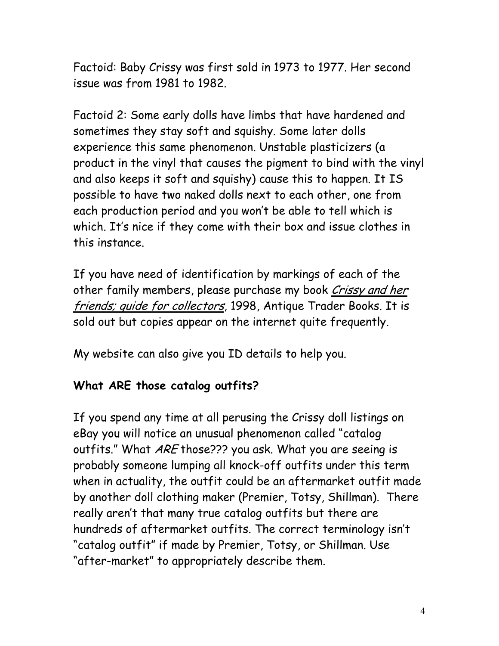Factoid: Baby Crissy was first sold in 1973 to 1977. Her second issue was from 1981 to 1982.

Factoid 2: Some early dolls have limbs that have hardened and sometimes they stay soft and squishy. Some later dolls experience this same phenomenon. Unstable plasticizers (a product in the vinyl that causes the pigment to bind with the vinyl and also keeps it soft and squishy) cause this to happen. It IS possible to have two naked dolls next to each other, one from each production period and you won't be able to tell which is which. It's nice if they come with their box and issue clothes in this instance.

If you have need of identification by markings of each of the other family members, please purchase my book Crissy and her friends; quide for collectors, 1998, Antique Trader Books. It is sold out but copies appear on the internet quite frequently.

My website can also give you ID details to help you.

## **What ARE those catalog outfits?**

If you spend any time at all perusing the Crissy doll listings on eBay you will notice an unusual phenomenon called "catalog outfits." What ARE those??? you ask. What you are seeing is probably someone lumping all knock-off outfits under this term when in actuality, the outfit could be an aftermarket outfit made by another doll clothing maker (Premier, Totsy, Shillman). There really aren't that many true catalog outfits but there are hundreds of aftermarket outfits. The correct terminology isn't "catalog outfit" if made by Premier, Totsy, or Shillman. Use "after-market" to appropriately describe them.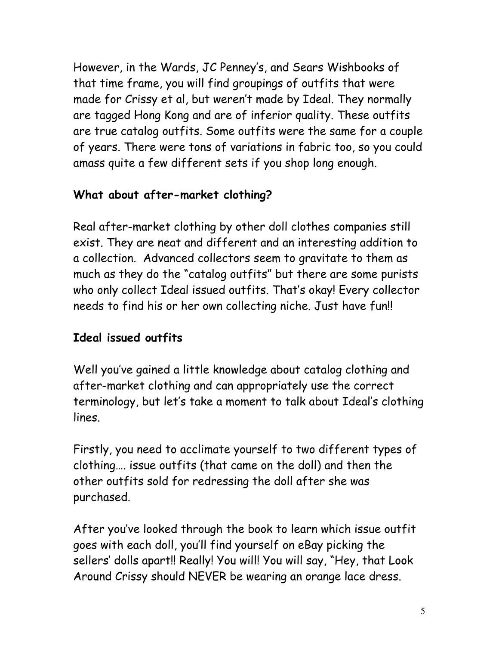However, in the Wards, JC Penney's, and Sears Wishbooks of that time frame, you will find groupings of outfits that were made for Crissy et al, but weren't made by Ideal. They normally are tagged Hong Kong and are of inferior quality. These outfits are true catalog outfits. Some outfits were the same for a couple of years. There were tons of variations in fabric too, so you could amass quite a few different sets if you shop long enough.

# **What about after-market clothing?**

Real after-market clothing by other doll clothes companies still exist. They are neat and different and an interesting addition to a collection. Advanced collectors seem to gravitate to them as much as they do the "catalog outfits" but there are some purists who only collect Ideal issued outfits. That's okay! Every collector needs to find his or her own collecting niche. Just have fun!!

# **Ideal issued outfits**

Well you've gained a little knowledge about catalog clothing and after-market clothing and can appropriately use the correct terminology, but let's take a moment to talk about Ideal's clothing lines.

Firstly, you need to acclimate yourself to two different types of clothing…. issue outfits (that came on the doll) and then the other outfits sold for redressing the doll after she was purchased.

After you've looked through the book to learn which issue outfit goes with each doll, you'll find yourself on eBay picking the sellers' dolls apart!! Really! You will! You will say, "Hey, that Look Around Crissy should NEVER be wearing an orange lace dress.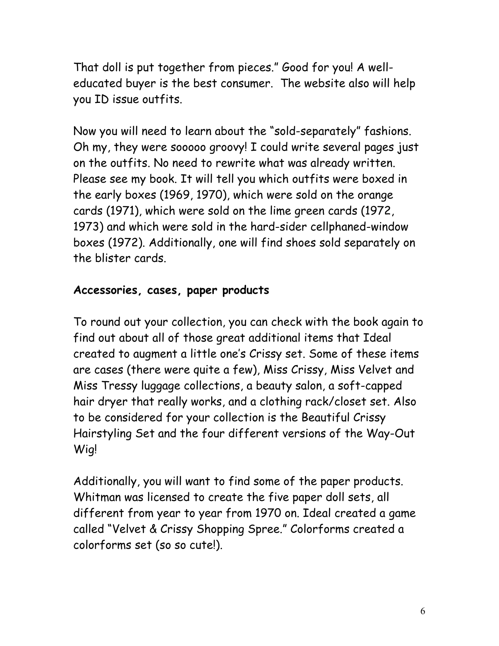That doll is put together from pieces." Good for you! A welleducated buyer is the best consumer. The website also will help you ID issue outfits.

Now you will need to learn about the "sold-separately" fashions. Oh my, they were sooooo groovy! I could write several pages just on the outfits. No need to rewrite what was already written. Please see my book. It will tell you which outfits were boxed in the early boxes (1969, 1970), which were sold on the orange cards (1971), which were sold on the lime green cards (1972, 1973) and which were sold in the hard-sider cellphaned-window boxes (1972). Additionally, one will find shoes sold separately on the blister cards.

#### **Accessories, cases, paper products**

To round out your collection, you can check with the book again to find out about all of those great additional items that Ideal created to augment a little one's Crissy set. Some of these items are cases (there were quite a few), Miss Crissy, Miss Velvet and Miss Tressy luggage collections, a beauty salon, a soft-capped hair dryer that really works, and a clothing rack/closet set. Also to be considered for your collection is the Beautiful Crissy Hairstyling Set and the four different versions of the Way-Out Wig!

Additionally, you will want to find some of the paper products. Whitman was licensed to create the five paper doll sets, all different from year to year from 1970 on. Ideal created a game called "Velvet & Crissy Shopping Spree." Colorforms created a colorforms set (so so cute!).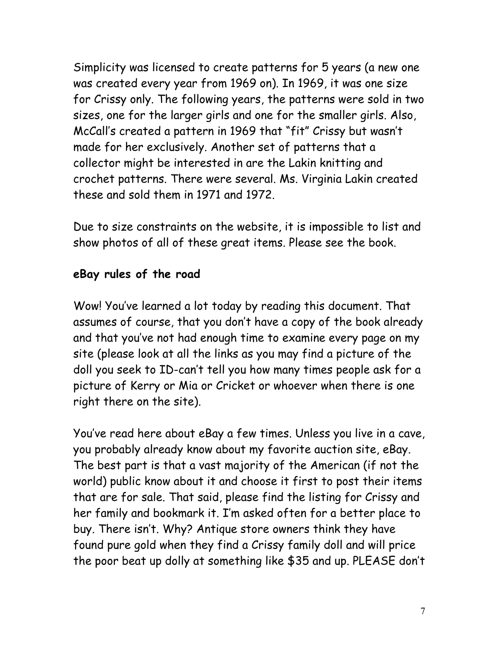Simplicity was licensed to create patterns for 5 years (a new one was created every year from 1969 on). In 1969, it was one size for Crissy only. The following years, the patterns were sold in two sizes, one for the larger girls and one for the smaller girls. Also, McCall's created a pattern in 1969 that "fit" Crissy but wasn't made for her exclusively. Another set of patterns that a collector might be interested in are the Lakin knitting and crochet patterns. There were several. Ms. Virginia Lakin created these and sold them in 1971 and 1972.

Due to size constraints on the website, it is impossible to list and show photos of all of these great items. Please see the book.

#### **eBay rules of the road**

Wow! You've learned a lot today by reading this document. That assumes of course, that you don't have a copy of the book already and that you've not had enough time to examine every page on my site (please look at all the links as you may find a picture of the doll you seek to ID-can't tell you how many times people ask for a picture of Kerry or Mia or Cricket or whoever when there is one right there on the site).

You've read here about eBay a few times. Unless you live in a cave, you probably already know about my favorite auction site, eBay. The best part is that a vast majority of the American (if not the world) public know about it and choose it first to post their items that are for sale. That said, please find the listing for Crissy and her family and bookmark it. I'm asked often for a better place to buy. There isn't. Why? Antique store owners think they have found pure gold when they find a Crissy family doll and will price the poor beat up dolly at something like \$35 and up. PLEASE don't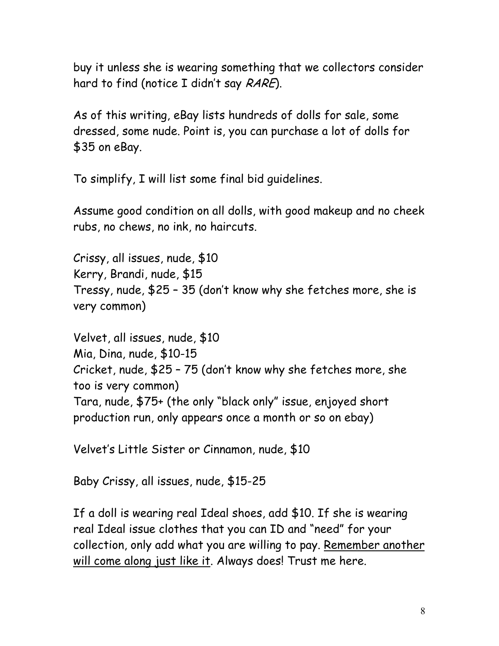buy it unless she is wearing something that we collectors consider hard to find (notice I didn't say RARE).

As of this writing, eBay lists hundreds of dolls for sale, some dressed, some nude. Point is, you can purchase a lot of dolls for \$35 on eBay.

To simplify, I will list some final bid guidelines.

Assume good condition on all dolls, with good makeup and no cheek rubs, no chews, no ink, no haircuts.

Crissy, all issues, nude, \$10 Kerry, Brandi, nude, \$15 Tressy, nude, \$25 – 35 (don't know why she fetches more, she is very common)

Velvet, all issues, nude, \$10 Mia, Dina, nude, \$10-15 Cricket, nude, \$25 – 75 (don't know why she fetches more, she too is very common) Tara, nude, \$75+ (the only "black only" issue, enjoyed short production run, only appears once a month or so on ebay)

Velvet's Little Sister or Cinnamon, nude, \$10

Baby Crissy, all issues, nude, \$15-25

If a doll is wearing real Ideal shoes, add \$10. If she is wearing real Ideal issue clothes that you can ID and "need" for your collection, only add what you are willing to pay. Remember another will come along just like it. Always does! Trust me here.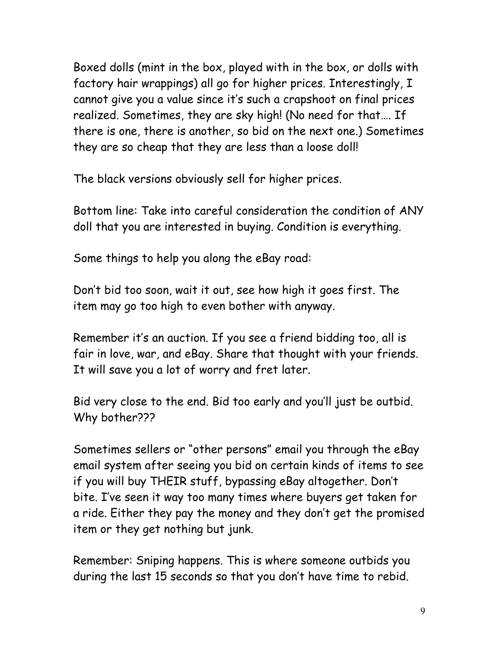Boxed dolls (mint in the box, played with in the box, or dolls with factory hair wrappings) all go for higher prices. Interestingly, I cannot give you a value since it's such a crapshoot on final prices realized. Sometimes, they are sky high! (No need for that…. If there is one, there is another, so bid on the next one.) Sometimes they are so cheap that they are less than a loose doll!

The black versions obviously sell for higher prices.

Bottom line: Take into careful consideration the condition of ANY doll that you are interested in buying. Condition is everything.

Some things to help you along the eBay road:

Don't bid too soon, wait it out, see how high it goes first. The item may go too high to even bother with anyway.

Remember it's an auction. If you see a friend bidding too, all is fair in love, war, and eBay. Share that thought with your friends. It will save you a lot of worry and fret later.

Bid very close to the end. Bid too early and you'll just be outbid. Why bother???

Sometimes sellers or "other persons" email you through the eBay email system after seeing you bid on certain kinds of items to see if you will buy THEIR stuff, bypassing eBay altogether. Don't bite. I've seen it way too many times where buyers get taken for a ride. Either they pay the money and they don't get the promised item or they get nothing but junk.

Remember: Sniping happens. This is where someone outbids you during the last 15 seconds so that you don't have time to rebid.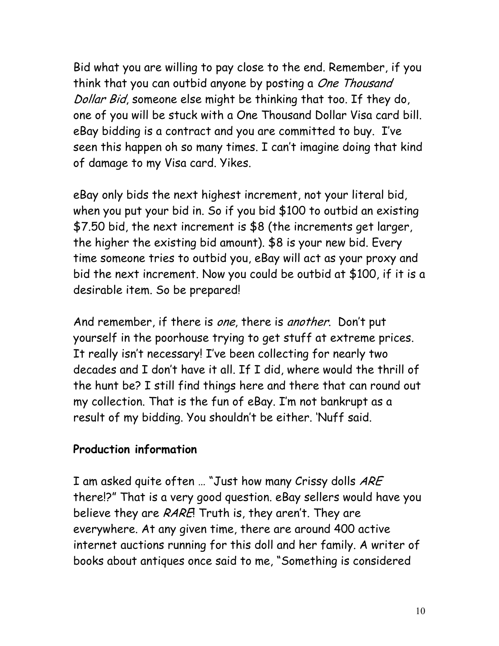Bid what you are willing to pay close to the end. Remember, if you think that you can outbid anyone by posting a One Thousand Dollar Bid, someone else might be thinking that too. If they do, one of you will be stuck with a One Thousand Dollar Visa card bill. eBay bidding is a contract and you are committed to buy. I've seen this happen oh so many times. I can't imagine doing that kind of damage to my Visa card. Yikes.

eBay only bids the next highest increment, not your literal bid, when you put your bid in. So if you bid \$100 to outbid an existing \$7.50 bid, the next increment is \$8 (the increments get larger, the higher the existing bid amount). \$8 is your new bid. Every time someone tries to outbid you, eBay will act as your proxy and bid the next increment. Now you could be outbid at \$100, if it is a desirable item. So be prepared!

And remember, if there is one, there is another. Don't put yourself in the poorhouse trying to get stuff at extreme prices. It really isn't necessary! I've been collecting for nearly two decades and I don't have it all. If I did, where would the thrill of the hunt be? I still find things here and there that can round out my collection. That is the fun of eBay. I'm not bankrupt as a result of my bidding. You shouldn't be either. 'Nuff said.

#### **Production information**

I am asked quite often ... "Just how many Crissy dolls ARE there!?" That is a very good question. eBay sellers would have you believe they are RARE! Truth is, they aren't. They are everywhere. At any given time, there are around 400 active internet auctions running for this doll and her family. A writer of books about antiques once said to me, "Something is considered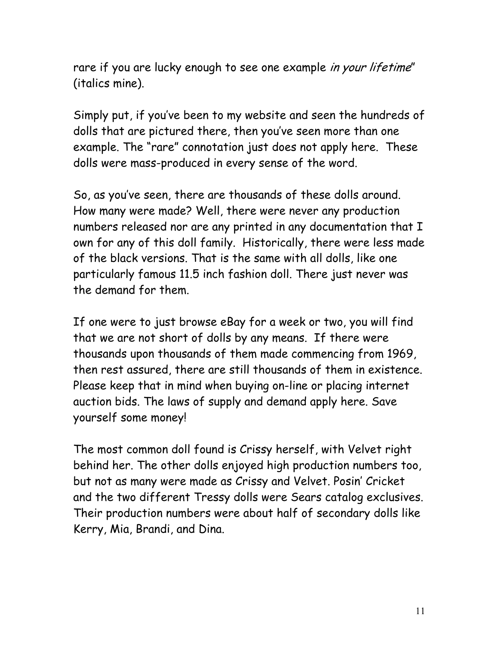rare if you are lucky enough to see one example in your lifetime" (italics mine).

Simply put, if you've been to my website and seen the hundreds of dolls that are pictured there, then you've seen more than one example. The "rare" connotation just does not apply here. These dolls were mass-produced in every sense of the word.

So, as you've seen, there are thousands of these dolls around. How many were made? Well, there were never any production numbers released nor are any printed in any documentation that I own for any of this doll family. Historically, there were less made of the black versions. That is the same with all dolls, like one particularly famous 11.5 inch fashion doll. There just never was the demand for them.

If one were to just browse eBay for a week or two, you will find that we are not short of dolls by any means. If there were thousands upon thousands of them made commencing from 1969, then rest assured, there are still thousands of them in existence. Please keep that in mind when buying on-line or placing internet auction bids. The laws of supply and demand apply here. Save yourself some money!

The most common doll found is Crissy herself, with Velvet right behind her. The other dolls enjoyed high production numbers too, but not as many were made as Crissy and Velvet. Posin' Cricket and the two different Tressy dolls were Sears catalog exclusives. Their production numbers were about half of secondary dolls like Kerry, Mia, Brandi, and Dina.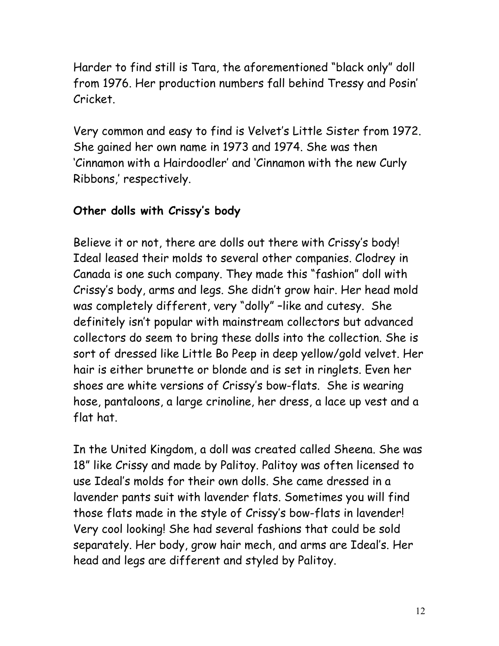Harder to find still is Tara, the aforementioned "black only" doll from 1976. Her production numbers fall behind Tressy and Posin' Cricket.

Very common and easy to find is Velvet's Little Sister from 1972. She gained her own name in 1973 and 1974. She was then 'Cinnamon with a Hairdoodler' and 'Cinnamon with the new Curly Ribbons,' respectively.

# **Other dolls with Crissy's body**

Believe it or not, there are dolls out there with Crissy's body! Ideal leased their molds to several other companies. Clodrey in Canada is one such company. They made this "fashion" doll with Crissy's body, arms and legs. She didn't grow hair. Her head mold was completely different, very "dolly" –like and cutesy. She definitely isn't popular with mainstream collectors but advanced collectors do seem to bring these dolls into the collection. She is sort of dressed like Little Bo Peep in deep yellow/gold velvet. Her hair is either brunette or blonde and is set in ringlets. Even her shoes are white versions of Crissy's bow-flats. She is wearing hose, pantaloons, a large crinoline, her dress, a lace up vest and a flat hat.

In the United Kingdom, a doll was created called Sheena. She was 18" like Crissy and made by Palitoy. Palitoy was often licensed to use Ideal's molds for their own dolls. She came dressed in a lavender pants suit with lavender flats. Sometimes you will find those flats made in the style of Crissy's bow-flats in lavender! Very cool looking! She had several fashions that could be sold separately. Her body, grow hair mech, and arms are Ideal's. Her head and legs are different and styled by Palitoy.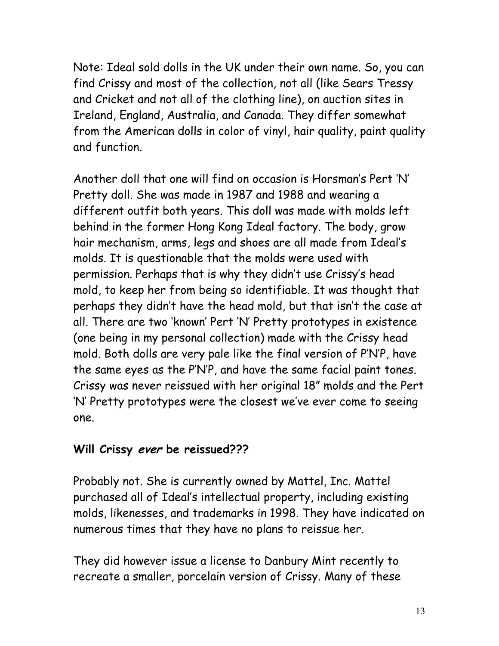Note: Ideal sold dolls in the UK under their own name. So, you can find Crissy and most of the collection, not all (like Sears Tressy and Cricket and not all of the clothing line), on auction sites in Ireland, England, Australia, and Canada. They differ somewhat from the American dolls in color of vinyl, hair quality, paint quality and function.

Another doll that one will find on occasion is Horsman's Pert 'N' Pretty doll. She was made in 1987 and 1988 and wearing a different outfit both years. This doll was made with molds left behind in the former Hong Kong Ideal factory. The body, grow hair mechanism, arms, legs and shoes are all made from Ideal's molds. It is questionable that the molds were used with permission. Perhaps that is why they didn't use Crissy's head mold, to keep her from being so identifiable. It was thought that perhaps they didn't have the head mold, but that isn't the case at all. There are two 'known' Pert 'N' Pretty prototypes in existence (one being in my personal collection) made with the Crissy head mold. Both dolls are very pale like the final version of P'N'P, have the same eyes as the P'N'P, and have the same facial paint tones. Crissy was never reissued with her original 18" molds and the Pert 'N' Pretty prototypes were the closest we've ever come to seeing one.

#### **Will Crissy ever be reissued???**

Probably not. She is currently owned by Mattel, Inc. Mattel purchased all of Ideal's intellectual property, including existing molds, likenesses, and trademarks in 1998. They have indicated on numerous times that they have no plans to reissue her.

They did however issue a license to Danbury Mint recently to recreate a smaller, porcelain version of Crissy. Many of these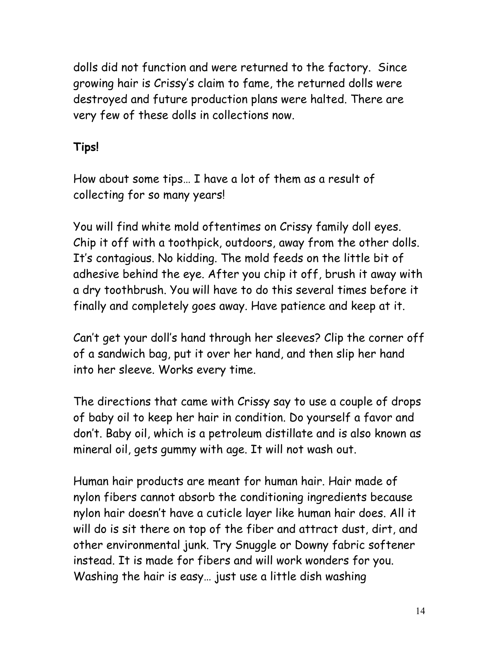dolls did not function and were returned to the factory. Since growing hair is Crissy's claim to fame, the returned dolls were destroyed and future production plans were halted. There are very few of these dolls in collections now.

## **Tips!**

How about some tips… I have a lot of them as a result of collecting for so many years!

You will find white mold oftentimes on Crissy family doll eyes. Chip it off with a toothpick, outdoors, away from the other dolls. It's contagious. No kidding. The mold feeds on the little bit of adhesive behind the eye. After you chip it off, brush it away with a dry toothbrush. You will have to do this several times before it finally and completely goes away. Have patience and keep at it.

Can't get your doll's hand through her sleeves? Clip the corner off of a sandwich bag, put it over her hand, and then slip her hand into her sleeve. Works every time.

The directions that came with Crissy say to use a couple of drops of baby oil to keep her hair in condition. Do yourself a favor and don't. Baby oil, which is a petroleum distillate and is also known as mineral oil, gets gummy with age. It will not wash out.

Human hair products are meant for human hair. Hair made of nylon fibers cannot absorb the conditioning ingredients because nylon hair doesn't have a cuticle layer like human hair does. All it will do is sit there on top of the fiber and attract dust, dirt, and other environmental junk. Try Snuggle or Downy fabric softener instead. It is made for fibers and will work wonders for you. Washing the hair is easy… just use a little dish washing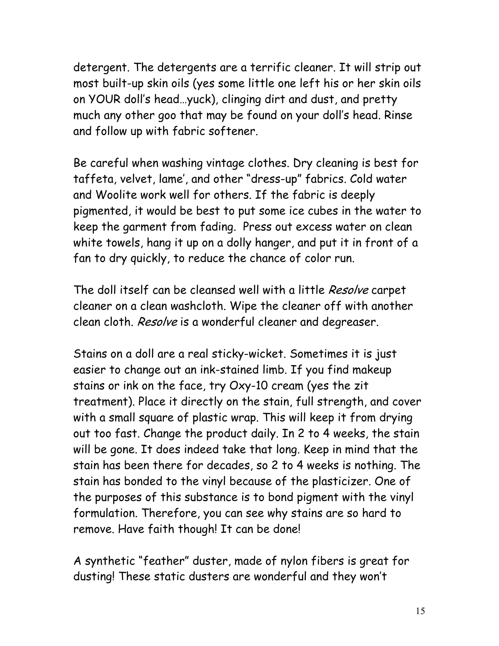detergent. The detergents are a terrific cleaner. It will strip out most built-up skin oils (yes some little one left his or her skin oils on YOUR doll's head…yuck), clinging dirt and dust, and pretty much any other goo that may be found on your doll's head. Rinse and follow up with fabric softener.

Be careful when washing vintage clothes. Dry cleaning is best for taffeta, velvet, lame', and other "dress-up" fabrics. Cold water and Woolite work well for others. If the fabric is deeply pigmented, it would be best to put some ice cubes in the water to keep the garment from fading. Press out excess water on clean white towels, hang it up on a dolly hanger, and put it in front of a fan to dry quickly, to reduce the chance of color run.

The doll itself can be cleansed well with a little Resolve carpet cleaner on a clean washcloth. Wipe the cleaner off with another clean cloth. Resolve is a wonderful cleaner and degreaser.

Stains on a doll are a real sticky-wicket. Sometimes it is just easier to change out an ink-stained limb. If you find makeup stains or ink on the face, try Oxy-10 cream (yes the zit treatment). Place it directly on the stain, full strength, and cover with a small square of plastic wrap. This will keep it from drying out too fast. Change the product daily. In 2 to 4 weeks, the stain will be gone. It does indeed take that long. Keep in mind that the stain has been there for decades, so 2 to 4 weeks is nothing. The stain has bonded to the vinyl because of the plasticizer. One of the purposes of this substance is to bond pigment with the vinyl formulation. Therefore, you can see why stains are so hard to remove. Have faith though! It can be done!

A synthetic "feather" duster, made of nylon fibers is great for dusting! These static dusters are wonderful and they won't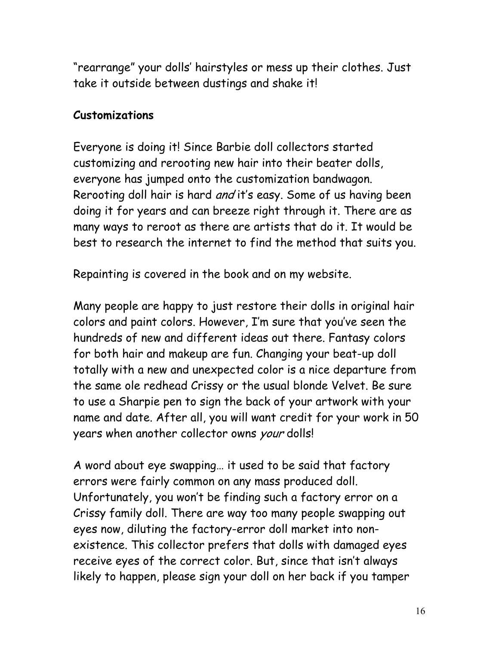"rearrange" your dolls' hairstyles or mess up their clothes. Just take it outside between dustings and shake it!

## **Customizations**

Everyone is doing it! Since Barbie doll collectors started customizing and rerooting new hair into their beater dolls, everyone has jumped onto the customization bandwagon. Rerooting doll hair is hard and it's easy. Some of us having been doing it for years and can breeze right through it. There are as many ways to reroot as there are artists that do it. It would be best to research the internet to find the method that suits you.

Repainting is covered in the book and on my website.

Many people are happy to just restore their dolls in original hair colors and paint colors. However, I'm sure that you've seen the hundreds of new and different ideas out there. Fantasy colors for both hair and makeup are fun. Changing your beat-up doll totally with a new and unexpected color is a nice departure from the same ole redhead Crissy or the usual blonde Velvet. Be sure to use a Sharpie pen to sign the back of your artwork with your name and date. After all, you will want credit for your work in 50 years when another collector owns your dolls!

A word about eye swapping… it used to be said that factory errors were fairly common on any mass produced doll. Unfortunately, you won't be finding such a factory error on a Crissy family doll. There are way too many people swapping out eyes now, diluting the factory-error doll market into nonexistence. This collector prefers that dolls with damaged eyes receive eyes of the correct color. But, since that isn't always likely to happen, please sign your doll on her back if you tamper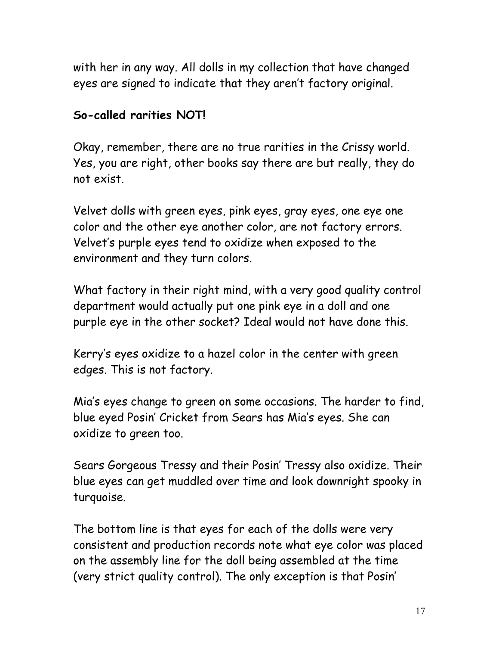with her in any way. All dolls in my collection that have changed eyes are signed to indicate that they aren't factory original.

## **So-called rarities NOT!**

Okay, remember, there are no true rarities in the Crissy world. Yes, you are right, other books say there are but really, they do not exist.

Velvet dolls with green eyes, pink eyes, gray eyes, one eye one color and the other eye another color, are not factory errors. Velvet's purple eyes tend to oxidize when exposed to the environment and they turn colors.

What factory in their right mind, with a very good quality control department would actually put one pink eye in a doll and one purple eye in the other socket? Ideal would not have done this.

Kerry's eyes oxidize to a hazel color in the center with green edges. This is not factory.

Mia's eyes change to green on some occasions. The harder to find, blue eyed Posin' Cricket from Sears has Mia's eyes. She can oxidize to green too.

Sears Gorgeous Tressy and their Posin' Tressy also oxidize. Their blue eyes can get muddled over time and look downright spooky in turquoise.

The bottom line is that eyes for each of the dolls were very consistent and production records note what eye color was placed on the assembly line for the doll being assembled at the time (very strict quality control). The only exception is that Posin'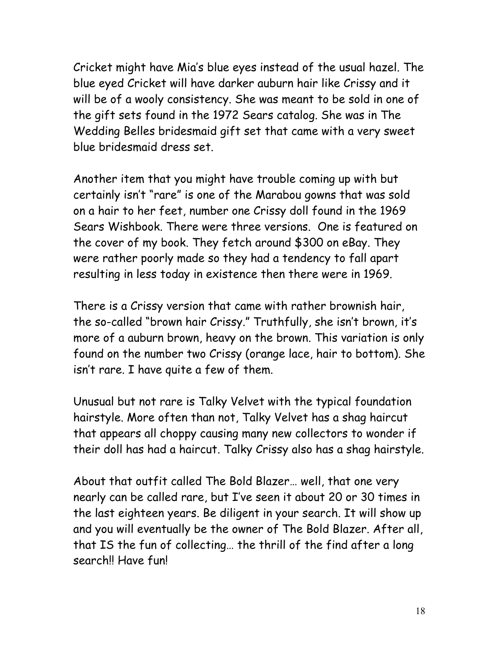Cricket might have Mia's blue eyes instead of the usual hazel. The blue eyed Cricket will have darker auburn hair like Crissy and it will be of a wooly consistency. She was meant to be sold in one of the gift sets found in the 1972 Sears catalog. She was in The Wedding Belles bridesmaid gift set that came with a very sweet blue bridesmaid dress set.

Another item that you might have trouble coming up with but certainly isn't "rare" is one of the Marabou gowns that was sold on a hair to her feet, number one Crissy doll found in the 1969 Sears Wishbook. There were three versions. One is featured on the cover of my book. They fetch around \$300 on eBay. They were rather poorly made so they had a tendency to fall apart resulting in less today in existence then there were in 1969.

There is a Crissy version that came with rather brownish hair, the so-called "brown hair Crissy." Truthfully, she isn't brown, it's more of a auburn brown, heavy on the brown. This variation is only found on the number two Crissy (orange lace, hair to bottom). She isn't rare. I have quite a few of them.

Unusual but not rare is Talky Velvet with the typical foundation hairstyle. More often than not, Talky Velvet has a shag haircut that appears all choppy causing many new collectors to wonder if their doll has had a haircut. Talky Crissy also has a shag hairstyle.

About that outfit called The Bold Blazer… well, that one very nearly can be called rare, but I've seen it about 20 or 30 times in the last eighteen years. Be diligent in your search. It will show up and you will eventually be the owner of The Bold Blazer. After all, that IS the fun of collecting… the thrill of the find after a long search!! Have fun!